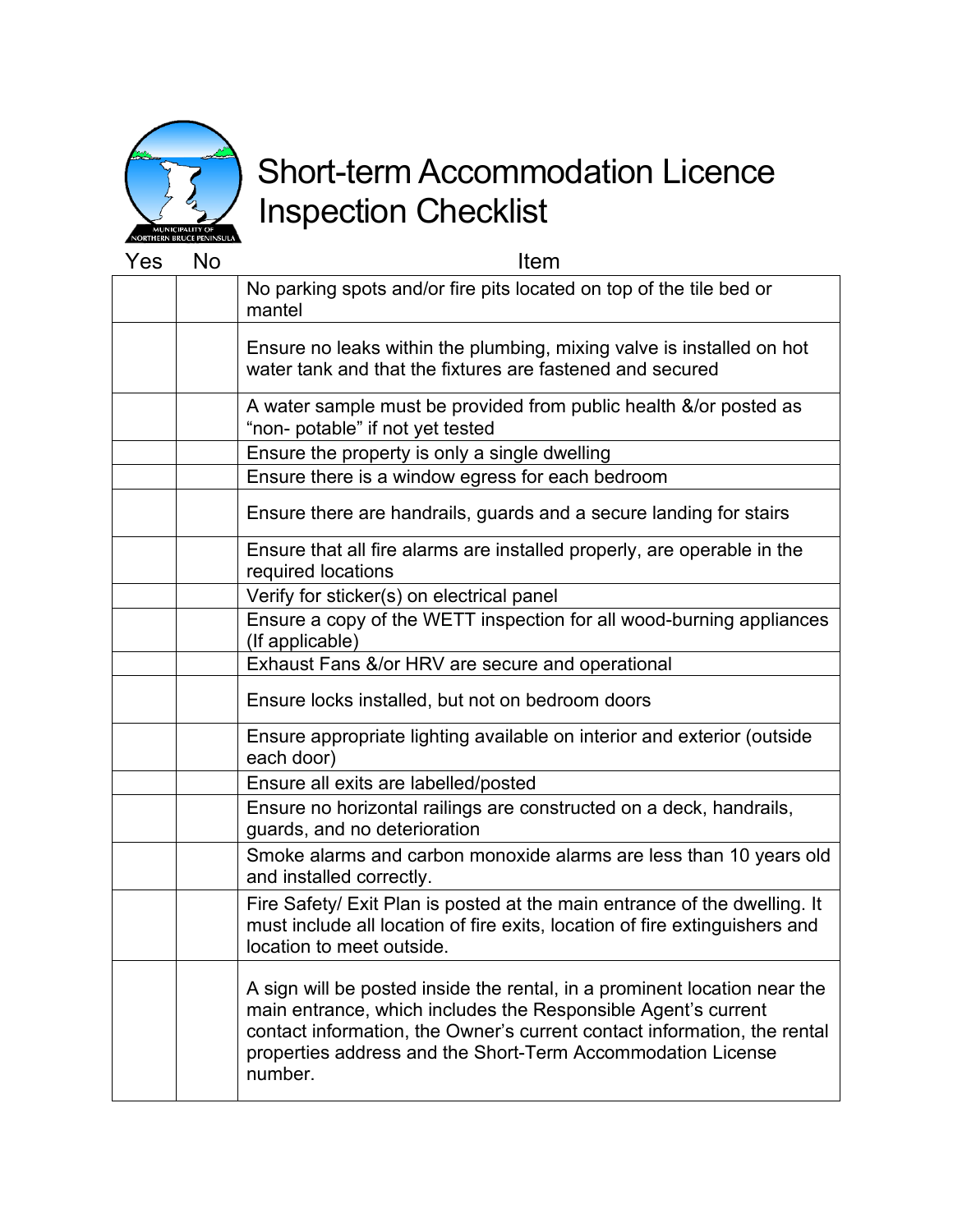

## Short-term Accommodation Licence Inspection Checklist

| Yes | No | Item                                                                                                                                                                                                                                                                                             |
|-----|----|--------------------------------------------------------------------------------------------------------------------------------------------------------------------------------------------------------------------------------------------------------------------------------------------------|
|     |    | No parking spots and/or fire pits located on top of the tile bed or<br>mantel                                                                                                                                                                                                                    |
|     |    | Ensure no leaks within the plumbing, mixing valve is installed on hot<br>water tank and that the fixtures are fastened and secured                                                                                                                                                               |
|     |    | A water sample must be provided from public health &/or posted as<br>"non- potable" if not yet tested                                                                                                                                                                                            |
|     |    | Ensure the property is only a single dwelling                                                                                                                                                                                                                                                    |
|     |    | Ensure there is a window egress for each bedroom                                                                                                                                                                                                                                                 |
|     |    | Ensure there are handrails, guards and a secure landing for stairs                                                                                                                                                                                                                               |
|     |    | Ensure that all fire alarms are installed properly, are operable in the<br>required locations                                                                                                                                                                                                    |
|     |    | Verify for sticker(s) on electrical panel                                                                                                                                                                                                                                                        |
|     |    | Ensure a copy of the WETT inspection for all wood-burning appliances<br>(If applicable)                                                                                                                                                                                                          |
|     |    | Exhaust Fans &/or HRV are secure and operational                                                                                                                                                                                                                                                 |
|     |    | Ensure locks installed, but not on bedroom doors                                                                                                                                                                                                                                                 |
|     |    | Ensure appropriate lighting available on interior and exterior (outside<br>each door)                                                                                                                                                                                                            |
|     |    | Ensure all exits are labelled/posted                                                                                                                                                                                                                                                             |
|     |    | Ensure no horizontal railings are constructed on a deck, handrails,<br>guards, and no deterioration                                                                                                                                                                                              |
|     |    | Smoke alarms and carbon monoxide alarms are less than 10 years old<br>and installed correctly.                                                                                                                                                                                                   |
|     |    | Fire Safety/ Exit Plan is posted at the main entrance of the dwelling. It<br>must include all location of fire exits, location of fire extinguishers and<br>location to meet outside.                                                                                                            |
|     |    | A sign will be posted inside the rental, in a prominent location near the<br>main entrance, which includes the Responsible Agent's current<br>contact information, the Owner's current contact information, the rental<br>properties address and the Short-Term Accommodation License<br>number. |